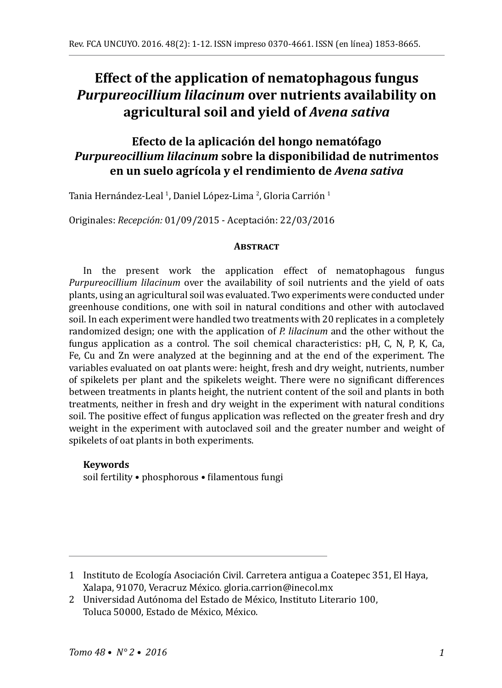# **Effect of the application of nematophagous fungus**  *Purpureocillium lilacinum* **over nutrients availability on agricultural soil and yield of** *Avena sativa*

## **Efecto de la aplicación del hongo nematófago**  *Purpureocillium lilacinum* **sobre la disponibilidad de nutrimentos en un suelo agrícola y el rendimiento de** *Avena sativa*

Tania Hernández-Leal <sup>I</sup>, Daniel López-Lima <sup>2</sup>, Gloria Carrión <sup>I</sup>

Originales: *Recepción:* 01/09/2015 - Aceptación: 22/03/2016

#### **ABSTRACT**

In the present work the application effect of nematophagous fungus *Purpureocillium lilacinum* over the availability of soil nutrients and the yield of oats plants, using an agricultural soil was evaluated. Two experiments were conducted under greenhouse conditions, one with soil in natural conditions and other with autoclaved soil. In each experiment were handled two treatments with 20 replicates in a completely randomized design; one with the application of *P. lilacinum* and the other without the fungus application as a control. The soil chemical characteristics: pH, C, N, P, K, Ca, Fe, Cu and Zn were analyzed at the beginning and at the end of the experiment. The variables evaluated on oat plants were: height, fresh and dry weight, nutrients, number of spikelets per plant and the spikelets weight. There were no significant differences between treatments in plants height, the nutrient content of the soil and plants in both treatments, neither in fresh and dry weight in the experiment with natural conditions soil. The positive effect of fungus application was reflected on the greater fresh and dry weight in the experiment with autoclaved soil and the greater number and weight of spikelets of oat plants in both experiments.

## **Keywords**

soil fertility • phosphorous • filamentous fungi

<sup>1</sup> Instituto de Ecología Asociación Civil. Carretera antigua a Coatepec 351, El Haya, Xalapa, 91070, Veracruz México. gloria.carrion@inecol.mx

<sup>2</sup> Universidad Autónoma del Estado de México, Instituto Literario 100, Toluca 50000, Estado de México, México.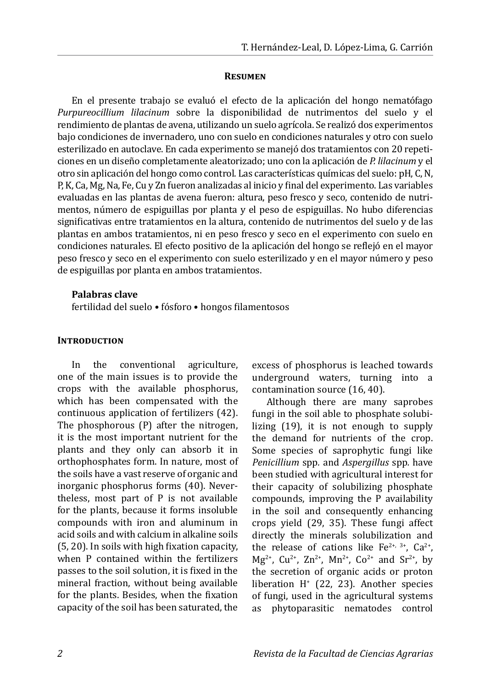#### **Resumen**

En el presente trabajo se evaluó el efecto de la aplicación del hongo nematófago *Purpureocillium lilacinum* sobre la disponibilidad de nutrimentos del suelo y el rendimiento de plantas de avena, utilizando un suelo agrícola. Se realizó dos experimentos bajo condiciones de invernadero, uno con suelo en condiciones naturales y otro con suelo esterilizado en autoclave. En cada experimento se manejó dos tratamientos con 20 repeticiones en un diseño completamente aleatorizado; uno con la aplicación de *P. lilacinum* y el otro sin aplicación del hongo como control. Las características químicas del suelo: pH, C, N, P, K, Ca, Mg, Na, Fe, Cu y Zn fueron analizadas al inicio y final del experimento. Las variables evaluadas en las plantas de avena fueron: altura, peso fresco y seco, contenido de nutrimentos, número de espiguillas por planta y el peso de espiguillas. No hubo diferencias significativas entre tratamientos en la altura, contenido de nutrimentos del suelo y de las plantas en ambos tratamientos, ni en peso fresco y seco en el experimento con suelo en condiciones naturales. El efecto positivo de la aplicación del hongo se reflejó en el mayor peso fresco y seco en el experimento con suelo esterilizado y en el mayor número y peso de espiguillas por planta en ambos tratamientos.

#### **Palabras clave**

fertilidad del suelo • fósforo • hongos filamentosos

#### **INTRODUCTION**

In the conventional agriculture, one of the main issues is to provide the crops with the available phosphorus, which has been compensated with the continuous application of fertilizers (42). The phosphorous (P) after the nitrogen, it is the most important nutrient for the plants and they only can absorb it in orthophosphates form. In nature, most of the soils have a vast reserve of organic and inorganic phosphorus forms (40). Nevertheless, most part of P is not available for the plants, because it forms insoluble compounds with iron and aluminum in acid soils and with calcium in alkaline soils (5, 20). In soils with high fixation capacity, when P contained within the fertilizers passes to the soil solution, it is fixed in the mineral fraction, without being available for the plants. Besides, when the fixation capacity of the soil has been saturated, the excess of phosphorus is leached towards underground waters, turning into a contamination source (16, 40).

Although there are many saprobes fungi in the soil able to phosphate solubilizing (19), it is not enough to supply the demand for nutrients of the crop. Some species of saprophytic fungi like *Penicillium* spp*.* and *Aspergillus* spp*.* have been studied with agricultural interest for their capacity of solubilizing phosphate compounds, improving the P availability in the soil and consequently enhancing crops yield (29, 35). These fungi affect directly the minerals solubilization and the release of cations like  $Fe^{2+, 3+}$ ,  $Ca^{2+}$ ,  $Mg^{2+}$ , Cu<sup>2+</sup>, Zn<sup>2+</sup>, Mn<sup>2+</sup>, Co<sup>2+</sup> and Sr<sup>2+</sup>, by the secretion of organic acids or proton liberation H+ (22, 23). Another species of fungi, used in the agricultural systems as phytoparasitic nematodes control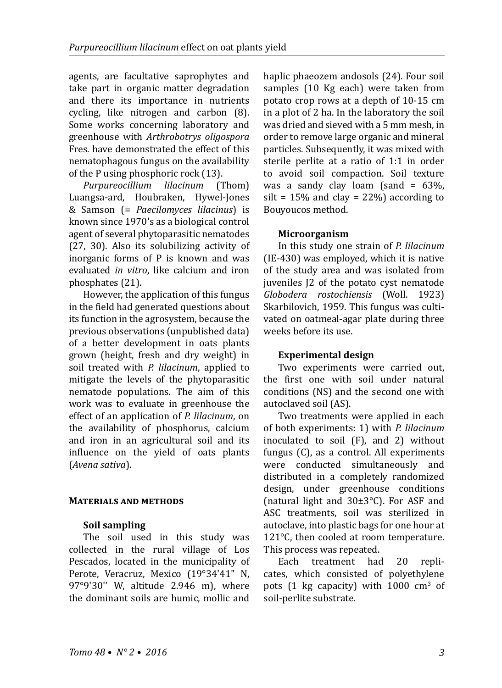agents, are facultative saprophytes and take part in organic matter degradation and there its importance in nutrients cycling, like nitrogen and carbon (8). Some works concerning laboratory and greenhouse with *Arthrobotrys oligospora* Fres. have demonstrated the effect of this nematophagous fungus on the availability of the P using phosphoric rock (13).<br>Purpureocillium lilacinum (Thom)

*Purpureocillium lilacinum* Luangsa-ard, Houbraken, Hywel-Jones & Samson (= *Paecilomyces lilacinus*) is known since 1970's as a biological control agent of several phytoparasitic nematodes (27, 30). Also its solubilizing activity of inorganic forms of P is known and was evaluated *in vitro*, like calcium and iron phosphates (21).

However, the application of this fungus in the field had generated questions about its function in the agrosystem, because the previous observations (unpublished data) of a better development in oats plants grown (height, fresh and dry weight) in soil treated with *P. lilacinum*, applied to mitigate the levels of the phytoparasitic nematode populations. The aim of this work was to evaluate in greenhouse the effect of an application of *P. lilacinum*, on the availability of phosphorus, calcium and iron in an agricultural soil and its influence on the yield of oats plants (*Avena sativa*).

## **Materials and methods**

## **Soil sampling**

The soil used in this study was collected in the rural village of Los Pescados, located in the municipality of Perote, Veracruz, Mexico (19°34'41" N, 97°9'30'' W, altitude 2.946 m), where the dominant soils are humic, mollic and

haplic phaeozem andosols (24). Four soil samples (10 Kg each) were taken from potato crop rows at a depth of 10-15 cm in a plot of 2 ha. In the laboratory the soil was dried and sieved with a 5 mm mesh, in order to remove large organic and mineral particles. Subsequently, it was mixed with sterile perlite at a ratio of 1:1 in order to avoid soil compaction. Soil texture was a sandy clay loam (sand  $= 63\%$ ). silt =  $15\%$  and clay =  $22\%$ ) according to Bouyoucos method.

#### **Microorganism**

In this study one strain of *P. lilacinum* (IE-430) was employed, which it is native of the study area and was isolated from juveniles J2 of the potato cyst nematode *Globodera rostochiensis* (Woll. 1923) Skarbilovich, 1959. This fungus was cultivated on oatmeal-agar plate during three weeks before its use.

## **Experimental design**

Two experiments were carried out, the first one with soil under natural conditions (NS) and the second one with autoclaved soil (AS).

Two treatments were applied in each of both experiments: 1) with *P. lilacinum*  inoculated to soil (F), and 2) without fungus (C), as a control. All experiments were conducted simultaneously and distributed in a completely randomized design, under greenhouse conditions (natural light and 30±3°C). For ASF and ASC treatments, soil was sterilized in autoclave, into plastic bags for one hour at 121°C, then cooled at room temperature. This process was repeated.<br>Each treatment had

treatment had 20 replicates, which consisted of polyethylene pots (1 kg capacity) with  $1000 \text{ cm}^3$  of soil-perlite substrate.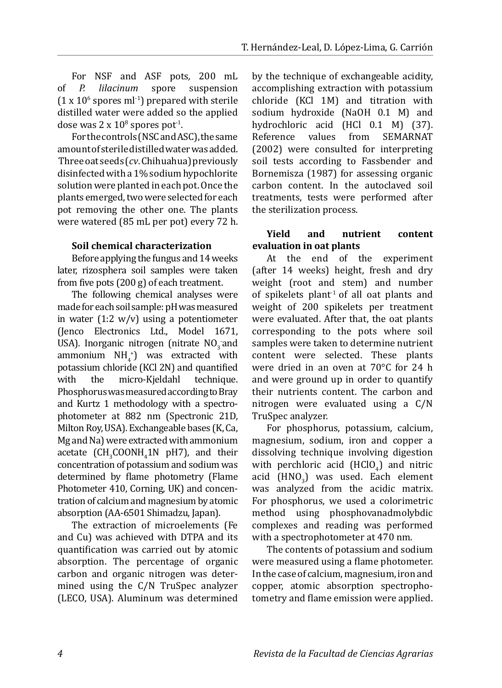For NSF and ASF pots*,* 200 mL spore suspension  $(1 \times 10^6$  spores ml<sup>-1</sup>) prepared with sterile distilled water were added so the applied dose was  $2 \times 10^8$  spores pot<sup>-1</sup>.

For the controls (NSC and ASC), the same amount of sterile distilled water was added. Three oat seeds (*cv*. Chihuahua) previously disinfected with a 1% sodium hypochlorite solution were planted in each pot. Once the plants emerged, two were selected for each pot removing the other one. The plants were watered (85 mL per pot) every 72 h.

#### **Soil chemical characterization**

Before applying the fungus and 14weeks later, rizosphera soil samples were taken from five pots (200 g) of each treatment.

The following chemical analyses were made for each soil sample: pH was measured in water  $(1:2 \text{ w/v})$  using a potentiometer (Jenco Electronics Ltd., Model 1671, USA). Inorganic nitrogen (nitrate  $NQ_3$  and  $ammonium NH<sub>4</sub><sup>+</sup>$  was extracted with potassium chloride (KCl 2N) and quantified<br>with the micro-Kjeldahl technique. with the micro-Kjeldahl technique. Phosphorus was measured according to Bray and Kurtz 1 methodology with a spectrophotometer at 882 nm (Spectronic 21D, Milton Roy, USA). Exchangeable bases (K, Ca, Mg and Na) were extracted with ammonium acetate  $\left(\text{CH}_3\text{COUNT}_4\text{IN}_1\text{PH}_2\right)$ , and their concentration of potassium and sodium was determined by flame photometry (Flame Photometer 410, Corning, UK) and concentration of calcium and magnesium by atomic absorption (AA-6501 Shimadzu, Japan).

The extraction of microelements (Fe and Cu) was achieved with DTPA and its quantification was carried out by atomic absorption. The percentage of organic carbon and organic nitrogen was determined using the C/N TruSpec analyzer (LECO, USA). Aluminum was determined by the technique of exchangeable acidity, accomplishing extraction with potassium chloride (KCl 1M) and titration with sodium hydroxide (NaOH 0.1 M) and hydrochloric acid (HCl 0.1 M) (37).<br>Reference values from SEMARNAT from SEMARNAT (2002) were consulted for interpreting soil tests according to Fassbender and Bornemisza (1987) for assessing organic carbon content. In the autoclaved soil treatments, tests were performed after the sterilization process.

#### **Yield and nutrient content evaluation in oat plants**

At the end of the experiment (after 14 weeks) height, fresh and dry weight (root and stem) and number of spikelets plant<sup>-1</sup> of all oat plants and weight of 200 spikelets per treatment were evaluated. After that, the oat plants corresponding to the pots where soil samples were taken to determine nutrient content were selected. These plants were dried in an oven at 70°C for 24 h and were ground up in order to quantify their nutrients content. The carbon and nitrogen were evaluated using a C/N TruSpec analyzer.

For phosphorus, potassium, calcium, magnesium, sodium, iron and copper a dissolving technique involving digestion with perchloric acid  $(HClO<sub>4</sub>)$  and nitric acid  $(HNO<sub>3</sub>)$  was used. Each element was analyzed from the acidic matrix. For phosphorus, we used a colorimetric method using phosphovanadmolybdic complexes and reading was performed with a spectrophotometer at 470 nm.

The contents of potassium and sodium were measured using a flame photometer. In the case of calcium, magnesium, iron and copper, atomic absorption spectrophotometry and flame emission were applied.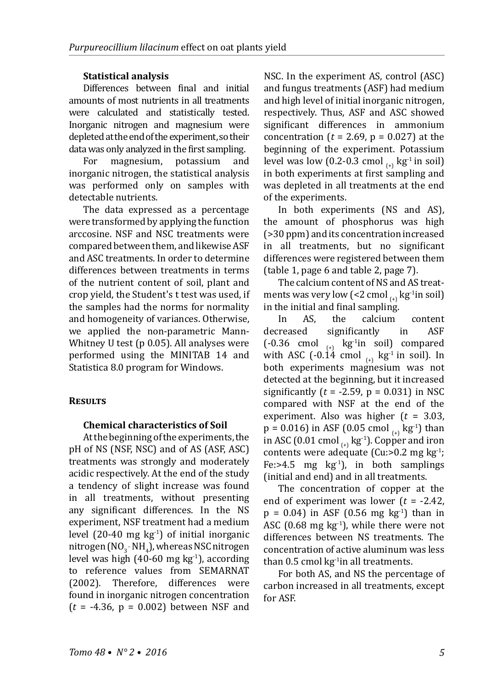## **Statistical analysis**

Differences between final and initial amounts of most nutrients in all treatments were calculated and statistically tested. Inorganic nitrogen and magnesium were depleted at the end of the experiment, so their data was only analyzed in the first sampling.<br>For magnesium potassium and

magnesium, inorganic nitrogen, the statistical analysis was performed only on samples with detectable nutrients.

The data expressed as a percentage were transformed by applying the function arccosine. NSF and NSC treatments were compared between them, and likewise ASF and ASC treatments. In order to determine differences between treatments in terms of the nutrient content of soil, plant and crop yield, the Student's t test was used, if the samples had the norms for normality and homogeneity of variances. Otherwise, we applied the non-parametric Mann-Whitney U test (p 0.05). All analyses were performed using the MINITAB 14 and Statistica 8.0 program for Windows.

## **Results**

## **Chemical characteristics of Soil**

At the beginning of the experiments, the pH of NS (NSF, NSC) and of AS (ASF, ASC) treatments was strongly and moderately acidic respectively. At the end of the study a tendency of slight increase was found in all treatments, without presenting any significant differences. In the NS experiment, NSF treatment had a medium level (20-40 mg  $kg<sup>-1</sup>$ ) of initial inorganic nitrogen (NO<sub>3</sub>-NH<sub>4</sub>), whereas NSC nitrogen level was high (40-60 mg  $kg<sup>-1</sup>$ ), according to reference values from SEMARNAT<br>(2002). Therefore, differences were differences were found in inorganic nitrogen concentration (*t* = -4.36, p = 0.002) between NSF and

NSC. In the experiment AS, control (ASC) and fungus treatments (ASF) had medium and high level of initial inorganic nitrogen, respectively. Thus, ASF and ASC showed significant differences in ammonium concentration ( $t = 2.69$ ,  $p = 0.027$ ) at the beginning of the experiment. Potassium level was low (0.2-0.3 cmol  $_{(+)}$  kg<sup>-1</sup> in soil) in both experiments at first sampling and was depleted in all treatments at the end of the experiments.

In both experiments (NS and AS), the amount of phosphorus was high (>30 ppm) and its concentration increased in all treatments, but no significant differences were registered between them (table 1, page 6 and table 2, page 7).

The calcium content of NS and AS treatments was very low (<2 cmol  $_{(+)}$  kg<sup>-1</sup>in soil) in the initial and final sampling.<br>In AS, the calcium

In AS, the calcium content<br>decreased significantly in ASF decreased significantly<br>(-0.36 cmol skg<sup>-1</sup>in so  $kg<sup>-1</sup>$ in soil) compared with ASC  $(-0.14 \text{ cmol}_{\text{H}} \text{kg}^{-1} \text{ in soil}).$  In both experiments magnesium was not detected at the beginning, but it increased significantly ( $t = -2.59$ ,  $p = 0.031$ ) in NSC compared with NSF at the end of the experiment. Also was higher (*t* = 3.03,  $p = 0.016$ ) in ASF (0.05 cmol <sub>(+)</sub> kg<sup>-1</sup>) than in ASC (0.01 cmol  $_{(+)}$  kg<sup>-1</sup>). Copper and iron contents were adequate (Cu:>0.2 mg kg<sup>-1</sup>; Fe: $>4.5$  mg kg<sup>-1</sup>), in both samplings (initial and end) and in all treatments.

The concentration of copper at the end of experiment was lower (*t* = -2.42,  $p = 0.04$ ) in ASF (0.56 mg kg<sup>-1</sup>) than in ASC (0.68 mg  $kg^{-1}$ ), while there were not differences between NS treatments. The concentration of active aluminum was less than  $0.5$  cmol kg<sup>-1</sup>in all treatments.

For both AS, and NS the percentage of carbon increased in all treatments, except for ASF.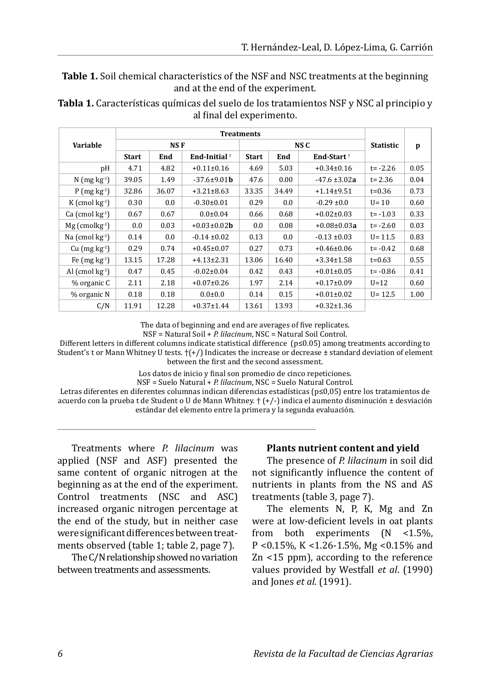**Table 1.** Soil chemical characteristics of the NSF and NSC treatments at the beginning and at the end of the experiment.

|                              | <b>Treatments</b> |       |                           |         |         |                        |                  |      |
|------------------------------|-------------------|-------|---------------------------|---------|---------|------------------------|------------------|------|
| Variable                     | NS F              |       |                           | NS C    |         |                        | <b>Statistic</b> | p    |
|                              | <b>Start</b>      | End   | End-Initial <sup>+</sup>  | Start   | End     | End-Start <sup>†</sup> |                  |      |
| pH                           | 4.71              | 4.82  | $+0.11\pm0.16$            | 4.69    | 5.03    | $+0.34\pm0.16$         | $t = -2.26$      | 0.05 |
| $N$ (mg kg <sup>-1</sup> )   | 39.05             | 1.49  | $-37.6 \pm 9.01$ <b>b</b> | 47.6    | 0.00    | $-47.6 \pm 3.02a$      | $t = 2.36$       | 0.04 |
| P $(mg kg-1)$                | 32.86             | 36.07 | $+3.21 \pm 8.63$          | 33.35   | 34.49   | $+1.14\pm9.51$         | $t = 0.36$       | 0.73 |
| K (cmol $kg^{-1}$ )          | 0.30              | 0.0   | $-0.30 \pm 0.01$          | 0.29    | 0.0     | $-0.29 \pm 0.0$        | $U = 10$         | 0.60 |
| $Ca$ (cmol $kg^{-1}$ )       | 0.67              | 0.67  | $0.0 \pm 0.04$            | 0.66    | 0.68    | $+0.02\pm0.03$         | $t = -1.03$      | 0.33 |
| $Mg$ (cmolkg <sup>-1</sup> ) | 0.0               | 0.03  | $+0.03 \pm 0.02$ <b>b</b> | $0.0\,$ | 0.08    | $+0.08\pm0.03a$        | $t = -2.60$      | 0.03 |
| Na $\rm (cmol~kg^{-1})$      | 0.14              | 0.0   | $-0.14 \pm 0.02$          | 0.13    | $0.0\,$ | $-0.13 \pm 0.03$       | $U = 11.5$       | 0.83 |
| $Cu$ (mg $kg^{-1}$ )         | 0.29              | 0.74  | $+0.45\pm0.07$            | 0.27    | 0.73    | $+0.46\pm0.06$         | $t = -0.42$      | 0.68 |
| Fe $(mg kg-1)$               | 13.15             | 17.28 | $+4.13 \pm 2.31$          | 13.06   | 16.40   | $+3.34 \pm 1.58$       | $t=0.63$         | 0.55 |
| Al $(\text{cmol kg}^1)$      | 0.47              | 0.45  | $-0.02 \pm 0.04$          | 0.42    | 0.43    | $+0.01\pm0.05$         | $t = -0.86$      | 0.41 |
| % organic C                  | 2.11              | 2.18  | $+0.07\pm0.26$            | 1.97    | 2.14    | $+0.17\pm0.09$         | $U=12$           | 0.60 |
| % organic N                  | 0.18              | 0.18  | $0.0{\pm}0.0$             | 0.14    | 0.15    | $+0.01\pm0.02$         | $U = 12.5$       | 1.00 |
| C/N                          | 11.91             | 12.28 | $+0.37 \pm 1.44$          | 13.61   | 13.93   | $+0.32 \pm 1.36$       |                  |      |

**Tabla 1.** Características químicas del suelo de los tratamientos NSF y NSC al principio y al final del experimento.

The data of beginning and end are averages of five replicates.

NSF = Natural Soil + *P. lilacinum*, NSC = Natural Soil Control.

Different letters in different columns indicate statistical difference (p≤0.05) among treatments according to Student's t or Mann Whitney U tests.  $\{\pm\}$  Indicates the increase or decrease  $\pm$  standard deviation of element between the first and the second assessment.

Los datos de inicio y final son promedio de cinco repeticiones.

NSF = Suelo Natural + *P. lilacinum*, NSC = Suelo Natural Control.

Letras diferentes en diferentes columnas indican diferencias estadísticas (p≤0,05) entre los tratamientos de acuerdo con la prueba t de Student o U de Mann Whitney. † (+/-) indica el aumento disminución ± desviación estándar del elemento entre la primera y la segunda evaluación.

Treatments where *P. lilacinum* was applied (NSF and ASF) presented the same content of organic nitrogen at the beginning as at the end of the experiment. Control treatments (NSC and ASC) increased organic nitrogen percentage at the end of the study, but in neither case were significant differences between treatments observed (table 1; table 2, page 7).

The C/N relationship showed no variation between treatments and assessments.

#### **Plants nutrient content and yield**

The presence of *P. lilacinum* in soil did not significantly influence the content of nutrients in plants from the NS and AS treatments (table 3, page 7).

The elements N, P, K, Mg and Zn were at low-deficient levels in oat plants from both experiments (N <1.5%, P <0.15%, K <1.26-1.5%, Mg <0.15% and Zn <15 ppm), according to the reference values provided by Westfall *et al*. (1990) and Jones *et al*. (1991).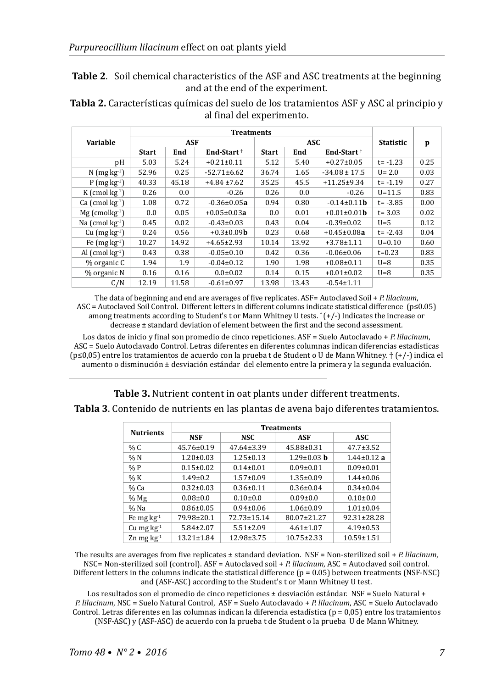**Table 2**. Soil chemical characteristics of the ASF and ASC treatments at the beginning and at the end of the experiment.

**Tabla 2.** Características químicas del suelo de los tratamientos ASF y ASC al principio y al final del experimento.

|                                         | <b>Treatments</b> |       |                          |              |               |                           |                  |      |
|-----------------------------------------|-------------------|-------|--------------------------|--------------|---------------|---------------------------|------------------|------|
| Variable                                | <b>ASF</b>        |       |                          | ASC.         |               |                           | <b>Statistic</b> | p    |
|                                         | <b>Start</b>      | End   | End-Start <sup>†</sup>   | <b>Start</b> | End           | End-Start <sup>+</sup>    |                  |      |
| рH                                      | 5.03              | 5.24  | $+0.21 \pm 0.11$         | 5.12         | 5.40          | $+0.27 \pm 0.05$          | $t = -1.23$      | 0.25 |
| N $(mg kg-1)$                           | 52.96             | 0.25  | $-52.71 \pm 6.62$        | 36.74        | 1.65          | $-34.08 \pm 17.5$         | $U = 2.0$        | 0.03 |
| $P$ (mg kg <sup>-1</sup> )              | 40.33             | 45.18 | $+4.84 \pm 7.62$         | 35.25        | 45.5          | $+11.25 \pm 9.34$         | $t = -1.19$      | 0.27 |
| K $\rm \Gamma$ (cmol kg <sup>-1</sup> ) | 0.26              | 0.0   | $-0.26$                  | 0.26         | $0.0^{\circ}$ | $-0.26$                   | $U = 11.5$       | 0.83 |
| $Ca$ (cmol $kg^{-1}$ )                  | 1.08              | 0.72  | $-0.36 \pm 0.05a$        | 0.94         | 0.80          | $-0.14 \pm 0.11$ <b>b</b> | $t = -3.85$      | 0.00 |
| $Mg$ (cmolkg <sup>-1</sup> )            | 0.0               | 0.05  | $+0.05\pm0.03a$          | 0.0          | 0.01          | $+0.01\pm0.01$ <b>b</b>   | $t = 3.03$       | 0.02 |
| Na $(\text{cmol kg}^{-1})$              | 0.45              | 0.02  | $-0.43 \pm 0.03$         | 0.43         | 0.04          | $-0.39 \pm 0.02$          | $U=5$            | 0.12 |
| $Cu$ (mg $kg^{-1}$ )                    | 0.24              | 0.56  | $+0.3 \pm 0.09$ <b>b</b> | 0.23         | 0.68          | $+0.45 \pm 0.08a$         | $t = -2.43$      | 0.04 |
| Fe $(mg kg-1)$                          | 10.27             | 14.92 | $+4.65\pm2.93$           | 10.14        | 13.92         | $+3.78 \pm 1.11$          | $U = 0.10$       | 0.60 |
| Al $(\text{cmol kg}^{-1})$              | 0.43              | 0.38  | $-0.05 \pm 0.10$         | 0.42         | 0.36          | $-0.06 \pm 0.06$          | $t = 0.23$       | 0.83 |
| % organic C                             | 1.94              | 1.9   | $-0.04 \pm 0.12$         | 1.90         | 1.98          | $+0.08\pm0.11$            | $U = 8$          | 0.35 |
| % organic N                             | 0.16              | 0.16  | $0.0{\pm}0.02$           | 0.14         | 0.15          | $+0.01\pm0.02$            | $U=8$            | 0.35 |
| C/N                                     | 12.19             | 11.58 | $-0.61 \pm 0.97$         | 13.98        | 13.43         | $-0.54 \pm 1.11$          |                  |      |

The data of beginning and end are averages of five replicates. ASF= Autoclaved Soil + *P. lilacinum*, ASC = Autoclaved Soil Control. Different letters in different columns indicate statistical difference (p≤0.05) among treatments according to Student's t or Mann Whitney U tests. † (+/-) Indicates the increase or decrease ± standard deviation of element between the first and the second assessment.

Los datos de inicio y final son promedio de cinco repeticiones. ASF = Suelo Autoclavado + *P. lilacinum*, ASC = Suelo Autoclavado Control. Letras diferentes en diferentes columnas indican diferencias estadísticas (p≤0,05) entre los tratamientos de acuerdo con la prueba t de Student o U de Mann Whitney. † (+/-) indica el aumento o disminución ± desviación estándar del elemento entre la primera y la segunda evaluación.

**Table 3.** Nutrient content in oat plants under different treatments. **Tabla 3**. Contenido de nutrients en las plantas de avena bajo diferentes tratamientos.

| <b>Nutrients</b>  | <b>Treatments</b> |                  |                   |                   |  |  |  |
|-------------------|-------------------|------------------|-------------------|-------------------|--|--|--|
|                   | <b>NSF</b>        | NSC.             | ASF               | ASC.              |  |  |  |
| % C               | $45.76 \pm 0.19$  | $47.64 \pm 3.39$ | $45.88 \pm 0.31$  | $47.7 \pm 3.52$   |  |  |  |
| %N                | $1.20 \pm 0.03$   | $1.25 \pm 0.13$  | $1.29 \pm 0.03$ b | $1.44 \pm 0.12$ a |  |  |  |
| %P                | $0.15 \pm 0.02$   | $0.14 \pm 0.01$  | $0.09 \pm 0.01$   | $0.09 \pm 0.01$   |  |  |  |
| % K               | $1.49 \pm 0.2$    | $1.57 \pm 0.09$  | $1.35 \pm 0.09$   | $1.44 \pm 0.06$   |  |  |  |
| % Ca              | $0.32 \pm 0.03$   | $0.36 \pm 0.11$  | $0.36 \pm 0.04$   | $0.34 \pm 0.04$   |  |  |  |
| $%$ Mg            | $0.08 \pm 0.0$    | $0.10{\pm}0.0$   | $0.09 \pm 0.0$    | $0.10{\pm}0.0$    |  |  |  |
| $%$ Na            | $0.86 \pm 0.05$   | $0.94 \pm 0.06$  | $1.06 \pm 0.09$   | $1.01 \pm 0.04$   |  |  |  |
| Fe mg $kg-1$      | 79.98±20.1        | 72.73±15.14      | 80.07±21.27       | 92.31±28.28       |  |  |  |
| Cu mg $kg^{-1}$   | $5.84 \pm 2.07$   | $5.51 \pm 2.09$  | $4.61 \pm 1.07$   | $4.19 \pm 0.53$   |  |  |  |
| $Zn$ mg $kg^{-1}$ | $13.21 \pm 1.84$  | 12.98±3.75       | $10.75 \pm 2.33$  | $10.59 \pm 1.51$  |  |  |  |

The results are averages from five replicates ± standard deviation. NSF = Non-sterilized soil + *P. lilacinum*, NSC= Non-sterilized soil (control). ASF = Autoclaved soil + *P. lilacinum*, ASC = Autoclaved soil control. Different letters in the columns indicate the statistical difference (p = 0.05) between treatments (NSF-NSC) and (ASF-ASC) according to the Student's t or Mann Whitney U test.

Los resultados son el promedio de cinco repeticiones ± desviación estándar. NSF = Suelo Natural + *P. lilacinum*, NSC = Suelo Natural Control, ASF = Suelo Autoclavado + *P. lilacinum*, ASC = Suelo Autoclavado Control. Letras diferentes en las columnas indican la diferencia estadística (p = 0,05) entre los tratamientos (NSF-ASC) y (ASF-ASC) de acuerdo con la prueba t de Student o la prueba U de Mann Whitney.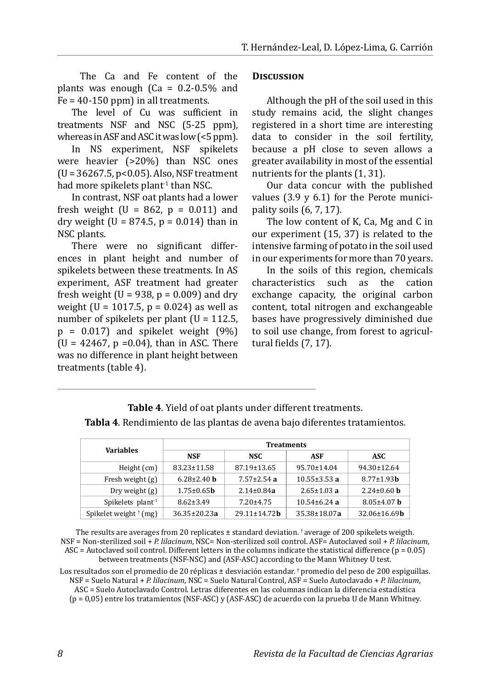The Ca and Fe content of the plants was enough  $(Ca = 0.2-0.5\%$  and  $Fe = 40-150$  ppm) in all treatments.

The level of Cu was sufficient in treatments NSF and NSC (5-25 ppm), whereas in ASF and ASC it was low  $($  <5 ppm).

In NS experiment, NSF spikelets were heavier (>20%) than NSC ones (U= 36267.5, p<0.05). Also, NSF treatment had more spikelets plant<sup>-1</sup> than NSC.

In contrast, NSF oat plants had a lower fresh weight (U = 862,  $p = 0.011$ ) and dry weight (U =  $874.5$ , p =  $0.014$ ) than in NSC plants.

There were no significant differences in plant height and number of spikelets between these treatments. In AS experiment, ASF treatment had greater fresh weight ( $U = 938$ ,  $p = 0.009$ ) and dry weight (U = 1017.5,  $p = 0.024$ ) as well as number of spikelets per plant  $(U = 112.5)$ ,  $p = 0.017$  and spikelet weight  $(9%)$  $(U = 42467, p = 0.04)$ , than in ASC. There was no difference in plant height between treatments (table 4).

#### **Discussion**

Although the pH of the soil used in this study remains acid, the slight changes registered in a short time are interesting data to consider in the soil fertility, because a pH close to seven allows a greater availability in most of the essential nutrients for the plants (1, 31).

Our data concur with the published values  $(3.9 \text{ y } 6.1)$  for the Perote municipality soils (6, 7, 17).

The low content of K, Ca, Mg and C in our experiment (15, 37) is related to the intensive farming of potato in the soil used in our experiments for more than 70 years.

In the soils of this region, chemicals<br>characteristics such as the cation such as the cation exchange capacity, the original carbon content, total nitrogen and exchangeable bases have progressively diminished due to soil use change, from forest to agricultural fields (7, 17).

| <b>Variables</b>               | <b>Treatments</b>        |                     |                    |                            |  |  |  |
|--------------------------------|--------------------------|---------------------|--------------------|----------------------------|--|--|--|
|                                | <b>NSF</b>               | NSC.                | <b>ASF</b>         | ASC.                       |  |  |  |
| Height (cm)                    | 83.23±11.58              | 87.19±13.65         | $95.70 \pm 14.04$  | 94.30±12.64                |  |  |  |
| Fresh weight $(g)$             | $6.28 \pm 2.40$ h        | $7.57 \pm 2.54$ a   | $10.55 \pm 3.53$ a | $8.77 \pm 1.93$ <b>b</b>   |  |  |  |
| Dry weight $(g)$               | $1.75 \pm 0.65$ <b>h</b> | $2.14 \pm 0.84a$    | $2.65 \pm 1.03$ a  | $2.24 \pm 0.60$ b          |  |  |  |
| Spikelets $plant-1$            | $8.62 \pm 3.49$          | $7.20 \pm 4.75$     | $10.54 \pm 6.24$ a | $8.05 \pm 4.07$ b          |  |  |  |
| Spikelet weight $\dagger$ (mg) | $36.35 \pm 20.23a$       | $29.11 \pm 14.72$ h | $35.38 \pm 18.07a$ | $32.06 \pm 16.69$ <b>b</b> |  |  |  |

**Table 4**. Yield of oat plants under different treatments. **Tabla 4**. Rendimiento de las plantas de avena bajo diferentes tratamientos.

The results are averages from 20 replicates  $\pm$  standard deviation. † average of 200 spikelets weigth. NSF = Non-sterilized soil + *P. lilacinum*, NSC= Non-sterilized soil control. ASF= Autoclaved soil + *P. lilacinum*, ASC = Autoclaved soil control. Different letters in the columns indicate the statistical difference ( $p = 0.05$ ) between treatments (NSF-NSC) and (ASF-ASC) according to the Mann Whitney U test.

Los resultados son el promedio de 20 réplicas ± desviación estandar. † promedio del peso de 200 espiguillas. NSF = Suelo Natural + *P. lilacinum*, NSC = Suelo Natural Control, ASF = Suelo Autoclavado + *P. lilacinum*, ASC = Suelo Autoclavado Control. Letras diferentes en las columnas indican la diferencia estadística (p = 0,05) entre los tratamientos (NSF-ASC) y (ASF-ASC) de acuerdo con la prueba U de Mann Whitney.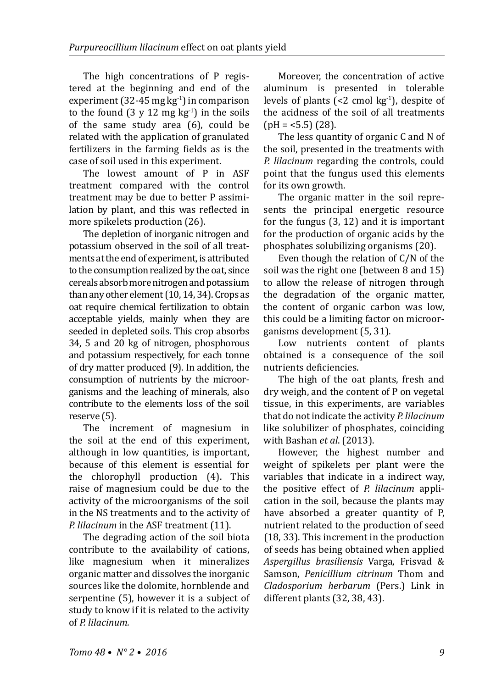The high concentrations of P registered at the beginning and end of the experiment (32-45 mg kg<sup>-1</sup>) in comparison to the found  $(3 \text{ y } 12 \text{ mg kg}^{-1})$  in the soils of the same study area (6), could be related with the application of granulated fertilizers in the farming fields as is the case of soil used in this experiment.

The lowest amount of P in ASF treatment compared with the control treatment may be due to better P assimilation by plant, and this was reflected in more spikelets production (26).

The depletion of inorganic nitrogen and potassium observed in the soil of all treatments at the end of experiment, is attributed to the consumption realized by the oat, since cereals absorb more nitrogen and potassium than any other element (10, 14, 34). Crops as oat require chemical fertilization to obtain acceptable yields, mainly when they are seeded in depleted soils. This crop absorbs 34, 5 and 20 kg of nitrogen, phosphorous and potassium respectively, for each tonne of dry matter produced (9). In addition, the consumption of nutrients by the microorganisms and the leaching of minerals, also contribute to the elements loss of the soil reserve (5).

The increment of magnesium in the soil at the end of this experiment, although in low quantities, is important, because of this element is essential for the chlorophyll production (4). This raise of magnesium could be due to the activity of the microorganisms of the soil in the NS treatments and to the activity of *P. lilacinum* in the ASF treatment (11).

The degrading action of the soil biota contribute to the availability of cations, like magnesium when it mineralizes organic matter and dissolves the inorganic sources like the dolomite, hornblende and serpentine (5), however it is a subject of study to know if it is related to the activity of *P. lilacinum.*

Moreover, the concentration of active aluminum is presented in tolerable levels of plants  $\left( < 2 \right)$  cmol kg<sup>-1</sup>), despite of the acidness of the soil of all treatments  $\text{(pH = <5.5)} (28)$ .

The less quantity of organic C and N of the soil, presented in the treatments with *P. lilacinum* regarding the controls, could point that the fungus used this elements for its own growth.

The organic matter in the soil represents the principal energetic resource for the fungus (3, 12) and it is important for the production of organic acids by the phosphates solubilizing organisms (20).

Even though the relation of C/N of the soil was the right one (between 8 and 15) to allow the release of nitrogen through the degradation of the organic matter, the content of organic carbon was low, this could be a limiting factor on microorganisms development (5, 31).

Low nutrients content of plants obtained is a consequence of the soil nutrients deficiencies.

The high of the oat plants, fresh and dry weigh, and the content of P on vegetal tissue, in this experiments, are variables that do not indicate the activity *P. lilacinum* like solubilizer of phosphates, coinciding with Bashan *et al*. (2013).

However, the highest number and weight of spikelets per plant were the variables that indicate in a indirect way, the positive effect of *P. lilacinum* application in the soil, because the plants may have absorbed a greater quantity of P, nutrient related to the production of seed (18, 33). This increment in the production of seeds has being obtained when applied *Aspergillus brasiliensis* Varga, Frisvad & Samson, *Penicillium citrinum* Thom and *Cladosporium herbarum* (Pers.) Link in different plants (32, 38, 43).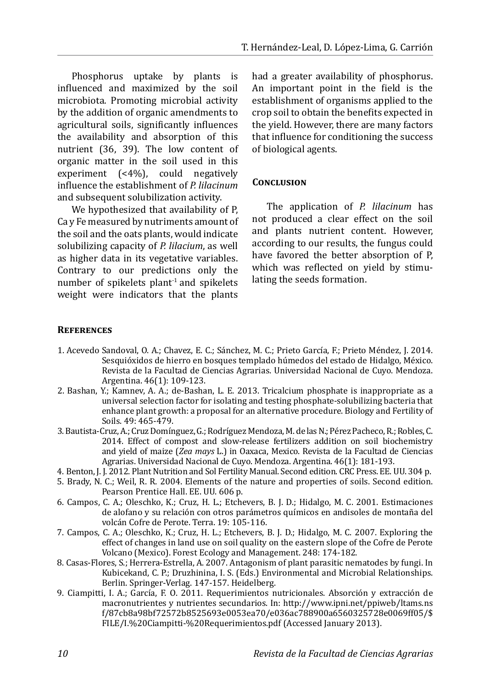Phosphorus uptake by plants is influenced and maximized by the soil microbiota. Promoting microbial activity by the addition of organic amendments to agricultural soils, significantly influences the availability and absorption of this nutrient (36, 39). The low content of organic matter in the soil used in this experiment (<4%), could negatively influence the establishment of *P. lilacinum* and subsequent solubilization activity.

We hypothesized that availability of P, Ca y Fe measured by nutriments amount of the soil and the oats plants, would indicate solubilizing capacity of *P. lilacium*, as well as higher data in its vegetative variables. Contrary to our predictions only the number of spikelets plant<sup>1</sup> and spikelets weight were indicators that the plants had a greater availability of phosphorus. An important point in the field is the establishment of organisms applied to the crop soil to obtain the benefits expected in the yield. However, there are many factors that influence for conditioning the success of biological agents.

#### **Conclusion**

The application of *P. lilacinum* has not produced a clear effect on the soil and plants nutrient content. However, according to our results, the fungus could have favored the better absorption of P, which was reflected on yield by stimulating the seeds formation.

#### **References**

- 1. Acevedo Sandoval, O. A.; Chavez, E. C.; Sánchez, M. C.; Prieto García, F.; Prieto Méndez, J. 2014. Sesquióxidos de hierro en bosques templado húmedos del estado de Hidalgo, México. Revista de la Facultad de Ciencias Agrarias. Universidad Nacional de Cuyo. Mendoza. Argentina. 46(1): 109-123.
- 2. Bashan, Y.; Kamnev, A. A.; de-Bashan, L. E. 2013. Tricalcium phosphate is inappropriate as a universal selection factor for isolating and testing phosphate-solubilizing bacteria that enhance plant growth: a proposal for an alternative procedure. Biology and Fertility of Soils. 49: 465-479.
- 3. Bautista-Cruz, A.; Cruz Domínguez, G.; Rodríguez Mendoza, M. de las N.; Pérez Pacheco,R.; Robles,C. 2014. Effect of compost and slow-release fertilizers addition on soil biochemistry and yield of maize (*Zea mays* L.) in Oaxaca, Mexico. Revista de la Facultad de Ciencias Agrarias. Universidad Nacional de Cuyo. Mendoza. Argentina. 46(1): 181-193.
- 4. Benton, J. J. 2012. Plant Nutrition and Sol Fertility Manual. Second edition. CRC Press. EE. UU. 304 p.
- 5. Brady, N. C.; Weil, R. R. 2004. Elements of the nature and properties of soils. Second edition. Pearson Prentice Hall. EE. UU. 606 p.
- 6. Campos, C. A.; Oleschko, K.; Cruz, H. L.; Etchevers, B. J. D.; Hidalgo, M. C. 2001. Estimaciones de alofano y su relación con otros parámetros químicos en andisoles de montaña del volcán Cofre de Perote. Terra. 19: 105-116.
- 7. Campos, C. A.; Oleschko, K.; Cruz, H. L.; Etchevers, B. J. D.; Hidalgo, M. C. 2007. Exploring the effect of changes in land use on soil quality on the eastern slope of the Cofre de Perote Volcano (Mexico). Forest Ecology and Management. 248: 174-182.
- 8. Casas-Flores, S.; Herrera-Estrella, A. 2007. Antagonism of plant parasitic nematodes by fungi. In Kubicekand, C. P.; Druzhinina, I. S. (Eds.) Environmental and Microbial Relationships. Berlin. Springer-Verlag. 147-157. Heidelberg.
- 9. Ciampitti, I. A.; García, F. O. 2011. Requerimientos nutricionales. Absorción y extracción de macronutrientes y nutrientes secundarios. In: http://www.ipni.net/ppiweb/ltams.ns f/87cb8a98bf72572b8525693e0053ea70/e036ac788900a6560325728e0069ff05/\$ FILE/I.%20Ciampitti-%20Requerimientos.pdf (Accessed January 2013).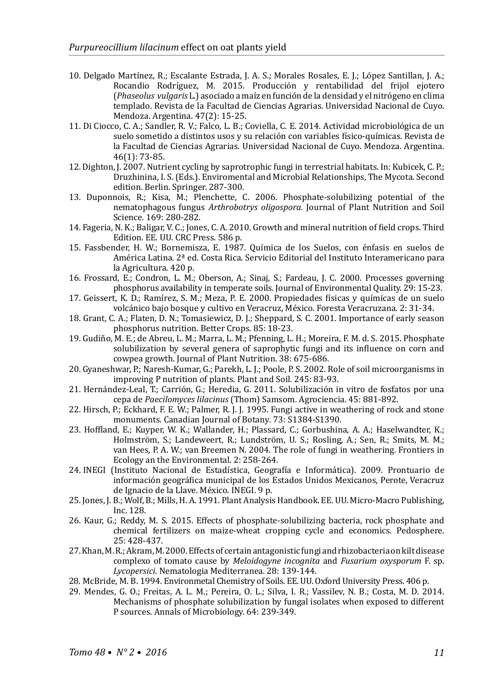- 10. Delgado Martínez, R.; Escalante Estrada, J. A. S.; Morales Rosales, E. J.; López Santillan, J. A.; Rocandio Rodríguez, M. 2015. Producción y rentabilidad del frijol ejotero (*Phaseolus vulgaris* L.) asociado a maíz en función de la densidad y el nitrógeno en clima templado. Revista de la Facultad de Ciencias Agrarias. Universidad Nacional de Cuyo. Mendoza. Argentina. 47(2): 15-25.
- 11. Di Ciocco, C. A.; Sandler, R. V.; Falco, L. B.; Coviella, C. E. 2014. Actividad microbiológica de un suelo sometido a distintos usos y su relación con variables físico-químicas. Revista de la Facultad de Ciencias Agrarias. Universidad Nacional de Cuyo. Mendoza. Argentina. 46(1): 73-85.
- 12. Dighton, J. 2007. Nutrient cycling by saprotrophic fungi in terrestrial habitats. In: Kubicek, C. P.; Druzhinina, I. S. (Eds.). Enviromental and Microbial Relationships, The Mycota. Second edition. Berlin. Springer. 287-300.
- 13. Duponnois, R.; Kisa, M.; Plenchette, C. 2006. Phosphate-solubilizing potential of the nematophagous fungus *Arthrobotrys oligospora.* Journal of Plant Nutrition and Soil Science*.* 169: 280-282.
- 14. Fageria, N. K.; Baligar, V. C.; Jones, C. A. 2010. Growth and mineral nutrition of field crops. Third Edition. EE. UU. CRC Press. 586 p.
- 15. Fassbender, H. W.; Bornemisza, E. 1987. Química de los Suelos, con énfasis en suelos de América Latina. 2ª ed. Costa Rica. Servicio Editorial del Instituto Interamericano para la Agricultura. 420 p.
- 16. Frossard, E.; Condron, L. M.; Oberson, A.; Sinaj, S.; Fardeau, J. C. 2000. Processes governing phosphorus availability in temperate soils. Journal of Environmental Quality. 29: 15-23.
- 17. Geissert, K. D.; Ramírez, S. M.; Meza, P. E. 2000. Propiedades físicas y químicas de un suelo volcánico bajo bosque y cultivo en Veracruz, México. Foresta Veracruzana. 2: 31-34.
- 18. Grant, C. A.; Flaten, D. N.; Tomasiewicz, D. J.; Sheppard, S. C. 2001. Importance of early season phosphorus nutrition. Better Crops. 85: 18-23.
- 19. Gudiño, M. E.; de Abreu, L. M.; Marra, L. M.; Pfenning, L. H.; Moreira, F. M. d. S. 2015. Phosphate solubilization by several genera of saprophytic fungi and its influence on corn and cowpea growth. Journal of Plant Nutrition. 38: 675-686.
- 20. Gyaneshwar, P.; Naresh-Kumar, G.; Parekh, L. J.; Poole, P. S. 2002. Role of soil microorganisms in improving P nutrition of plants. Plant and Soil*.* 245: 83-93.
- 21. Hernández-Leal, T.; Carrión, G.; Heredia, G. 2011. Solubilización in vitro de fosfatos por una cepa de *Paecilomyces lilacinus* (Thom) Samsom. Agrociencia. 45: 881-892.
- 22. Hirsch, P.; Eckhard, F. E. W.; Palmer, R. J. J. 1995. Fungi active in weathering of rock and stone monuments. Canadian Journal of Botany*.* 73: S1384-S1390.
- 23. Hoffland, E.; Kuyper, W. K.; Wallander, H.; Plassard, C.; Gorbushina, A. A.; Haselwandter, K.; Holmström, S.; Landeweert, R.; Lundström, U. S.; Rosling, A.; Sen, R.; Smits, M. M.; van Hees, P. A. W.; van Breemen N. 2004. The role of fungi in weathering. Frontiers in Ecology an the Environmental. 2: 258-264.
- 24. INEGI (Instituto Nacional de Estadística, Geografía e Informática). 2009. Prontuario de información geográfica municipal de los Estados Unidos Mexicanos, Perote, Veracruz de Ignacio de la Llave. México. INEGI. 9 p.
- 25. Jones, J. B.; Wolf, B.; Mills, H. A. 1991. Plant Analysis Handbook. EE. UU. Micro-Macro Publishing, Inc. 128.
- 26. Kaur, G.; Reddy, M. S. 2015. Effects of phosphate-solubilizing bacteria, rock phosphate and chemical fertilizers on maize-wheat cropping cycle and economics. Pedosphere. 25: 428-437.
- 27. Khan, M. R.; Akram, M. 2000. Effects of certain antagonistic fungi and rhizobacteria on kilt disease complexo of tomato cause by *Meloidogyne incognita* and *Fusarium oxysporum* F. sp. *Lycopersici*. Nematologia Mediterranea*.* 28: 139-144.
- 28. McBride, M. B. 1994. Environmetal Chemistry of Soils. EE. UU. Oxford University Press. 406 p.
- 29. Mendes, G. O.; Freitas, A. L. M.; Pereira, O. L.; Silva, I. R.; Vassilev, N. B.; Costa, M. D. 2014. Mechanisms of phosphate solubilization by fungal isolates when exposed to different P sources. Annals of Microbiology. 64: 239-349.